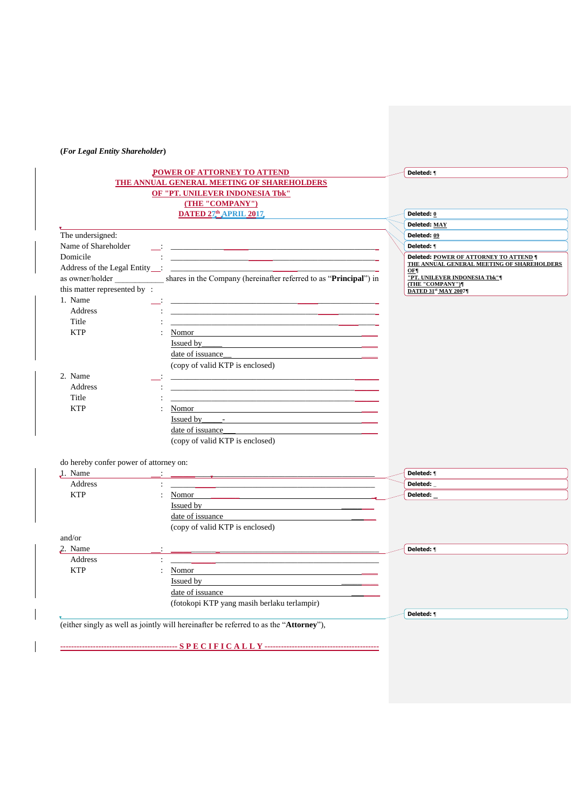## **(***For Legal Entity Shareholder***)**

|                                        | POWER OF ATTORNEY TO ATTEND                                                                                                                                                                                                    | Deleted: <b>1</b>                                      |
|----------------------------------------|--------------------------------------------------------------------------------------------------------------------------------------------------------------------------------------------------------------------------------|--------------------------------------------------------|
|                                        | THE ANNUAL GENERAL MEETING OF SHAREHOLDERS                                                                                                                                                                                     |                                                        |
|                                        | <b>OF "PT. UNILEVER INDONESIA Tbk"</b>                                                                                                                                                                                         |                                                        |
|                                        | (THE "COMPANY")                                                                                                                                                                                                                |                                                        |
|                                        | <b>DATED 27th APRIL 2017</b>                                                                                                                                                                                                   | Deleted: 0                                             |
|                                        |                                                                                                                                                                                                                                | Deleted: MAY                                           |
| The undersigned:                       |                                                                                                                                                                                                                                | Deleted: 09                                            |
| Name of Shareholder                    | <u>i di sebagai kecamatan ing kabupaten di kabupaten di kabupaten di kabupaten di kabupaten di kabupaten di kabupaten di kabupaten di kabupaten di kabupaten di kabupaten di kabupaten di ka</u>                               | Deleted: 1                                             |
| Domicile                               | <u> 1989 - Johann John Stein, markin fan it fjort fan it fjort fan it fjort fan it fjort fan it fjort fan it fjort f</u>                                                                                                       | Deleted: POWER OF ATTORNEY TO ATTEND ¶                 |
| Address of the Legal Entity :          | <u> 1989 - Johann Stein, mars and de Branch and de Branch and de Branch and de Branch and de Branch and de Branch</u>                                                                                                          | THE ANNUAL GENERAL MEETING OF SHAREHOLDERS<br>OF¶      |
| as owner/holder                        | shares in the Company (hereinafter referred to as "Principal") in                                                                                                                                                              | "PT. UNILEVER INDONESIA Tbk"¶<br><b>THE "COMPANY")</b> |
| this matter represented by:            |                                                                                                                                                                                                                                | <b>DATED 31st MAY 2007¶</b>                            |
| 1. Name                                | <u> 1989 - Johann Harry Harry Harry Harry Harry Harry Harry Harry Harry Harry Harry Harry Harry Harry Harry Harry</u>                                                                                                          |                                                        |
| <b>Address</b>                         |                                                                                                                                                                                                                                |                                                        |
| Title                                  |                                                                                                                                                                                                                                |                                                        |
| <b>KTP</b>                             | Nomor                                                                                                                                                                                                                          |                                                        |
|                                        | Issued by the contract of the contract of the contract of the contract of the contract of the contract of the contract of the contract of the contract of the contract of the contract of the contract of the contract of the  |                                                        |
|                                        | date of issuance                                                                                                                                                                                                               |                                                        |
|                                        | (copy of valid KTP is enclosed)                                                                                                                                                                                                |                                                        |
| 2. Name                                | <u> 1989 - Johann Harry Harry Harry Harry Harry Harry Harry Harry Harry Harry Harry Harry Harry Harry Harry Harry</u>                                                                                                          |                                                        |
| Address                                | <u> 1989 - Johann Stein, mars an deutscher Stein und der Stein und der Stein und der Stein und der Stein und der</u>                                                                                                           |                                                        |
| Title                                  | <u> 1989 - Johann Stoff, amerikansk politiker (d. 1989)</u>                                                                                                                                                                    |                                                        |
| <b>KTP</b>                             | Nomor                                                                                                                                                                                                                          |                                                        |
|                                        | Issued by Figure 2014                                                                                                                                                                                                          |                                                        |
|                                        | date of issuance                                                                                                                                                                                                               |                                                        |
|                                        | (copy of valid KTP is enclosed)                                                                                                                                                                                                |                                                        |
| do hereby confer power of attorney on: |                                                                                                                                                                                                                                |                                                        |
| 1. Name                                | <u> 2000 - Jan James James Schwarzen, amerikanischer Schwarzen und der Schwarzen und der Schwarzen und der Schwarz</u>                                                                                                         | Deleted: <b>1</b>                                      |
| Address                                |                                                                                                                                                                                                                                | <b>Deleted:</b>                                        |
| <b>KTP</b>                             | Nomor                                                                                                                                                                                                                          | Deleted:                                               |
|                                        | <u>Issued</u> by                                                                                                                                                                                                               |                                                        |
|                                        | date of issuance                                                                                                                                                                                                               |                                                        |
|                                        | (copy of valid KTP is enclosed)                                                                                                                                                                                                |                                                        |
| and/or                                 |                                                                                                                                                                                                                                |                                                        |
| 2. Name                                | <u> Liste de la construcción de la construcción de la construcción de la construcción de la construcción de la c</u>                                                                                                           | Deleted: 1                                             |
| Address                                | <u> 1989 - Johann John Stein, markin am deutscher Stein und der Stein und der Stein und der Stein und der Stein un</u>                                                                                                         |                                                        |
| <b>KTP</b>                             | Nomor and the same state of the state of the state of the state of the state of the state of the state of the state of the state of the state of the state of the state of the state of the state of the state of the state of |                                                        |
|                                        | Issued by the contract of the contract of the contract of the contract of the contract of the contract of the contract of the contract of the contract of the contract of the contract of the contract of the contract of the  |                                                        |
|                                        | date of issuance                                                                                                                                                                                                               |                                                        |
|                                        | (fotokopi KTP yang masih berlaku terlampir)                                                                                                                                                                                    |                                                        |
|                                        |                                                                                                                                                                                                                                | Deleted: <b>1</b>                                      |
|                                        | (either singly as well as jointly will hereinafter be referred to as the "Attorney"),                                                                                                                                          |                                                        |
|                                        |                                                                                                                                                                                                                                |                                                        |
|                                        |                                                                                                                                                                                                                                |                                                        |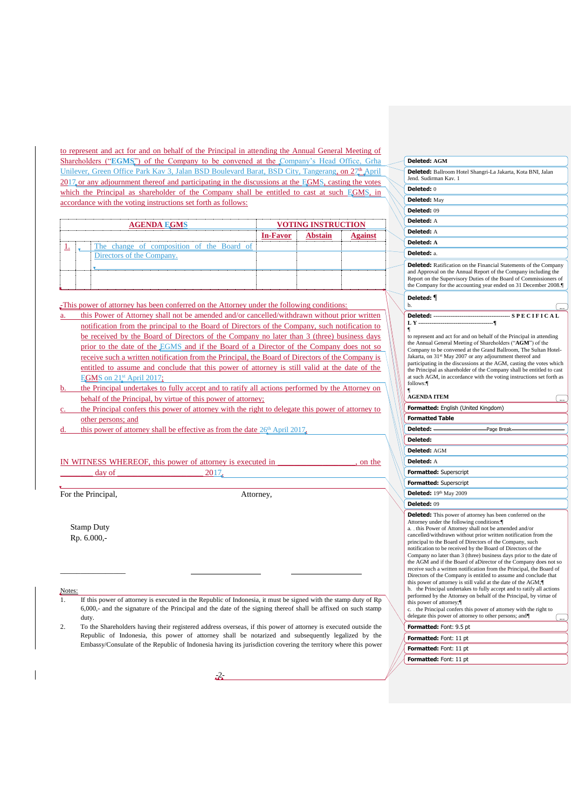to represent and act for and on behalf of the Principal in attending the Annual General Meeting of Shareholders ("EGMS") of the Company to be convened at the Company's Head Office, Grha Unilever, Green Office Park Kav 3, Jalan BSD Boulevard Barat, BSD City, Tangerang, on 27<sup>th</sup>, April 2017<sub>, or any adjournment thereof and participating in the discussions at the EGMS, casting the votes</sub> which the Principal as shareholder of the Company shall be entitled to cast at such EGMS, in accordance with the voting instructions set forth as follows:

| <b>AGENDA EGMS</b> |  | <b>VOTING INSTRUCTION</b>                 |          |  |  |  |
|--------------------|--|-------------------------------------------|----------|--|--|--|
|                    |  |                                           | In-Favor |  |  |  |
|                    |  | The change of composition of the Board of |          |  |  |  |
|                    |  | Directors of the Company.                 |          |  |  |  |
|                    |  |                                           |          |  |  |  |
|                    |  |                                           |          |  |  |  |
|                    |  |                                           |          |  |  |  |

This power of attorney has been conferred on the Attorney under the following conditions:

- this Power of Attorney shall not be amended and/or cancelled/withdrawn without prior written notification from the principal to the Board of Directors of the Company, such notification to be received by the Board of Directors of the Company no later than 3 (three) business days prior to the date of the EGMS and if the Board of a Director of the Company does not so receive such a written notification from the Principal, the Board of Directors of the Company is entitled to assume and conclude that this power of attorney is still valid at the date of the EGMS on  $21<sup>st</sup>$  April 2017;
- the Principal undertakes to fully accept and to ratify all actions performed by the Attorney on behalf of the Principal, by virtue of this power of attorney;
- c. the Principal confers this power of attorney with the right to delegate this power of attorney to other persons; and
- this power of attorney shall be effective as from the date  $26<sup>th</sup>$  April 2017.

| IN WITNESS WHEREOF, this power of attorney is executed in |  |  |
|-----------------------------------------------------------|--|--|
|                                                           |  |  |

For the Principal,  $\blacksquare$  Attorney,

Stamp Duty Rp. 6.000,-

\_\_\_\_\_\_\_\_\_\_\_\_\_\_\_\_

Notes:

- 1. If this power of attorney is executed in the Republic of Indonesia, it must be signed with the stamp duty of Rp 6,000,- and the signature of the Principal and the date of the signing thereof shall be affixed on such stamp duty.
- 2. To the Shareholders having their registered address overseas, if this power of attorney is executed outside the Republic of Indonesia, this power of attorney shall be notarized and subsequently legalized by the Embassy/Consulate of the Republic of Indonesia having its jurisdiction covering the territory where this power

-2-

| Deleted: AGM                                                                                                                                                                                                                                                                                                                                                                                                                                                                                               |
|------------------------------------------------------------------------------------------------------------------------------------------------------------------------------------------------------------------------------------------------------------------------------------------------------------------------------------------------------------------------------------------------------------------------------------------------------------------------------------------------------------|
| <b>Deleted:</b> Ballroom Hotel Shangri-La Jakarta, Kota BNI, Jalan<br>Jend. Sudirman Kav. 1                                                                                                                                                                                                                                                                                                                                                                                                                |
| <b>Deleted:</b> 0                                                                                                                                                                                                                                                                                                                                                                                                                                                                                          |
| <b>Deleted:</b> May                                                                                                                                                                                                                                                                                                                                                                                                                                                                                        |
| <b>Deleted: 09</b>                                                                                                                                                                                                                                                                                                                                                                                                                                                                                         |
| Deleted: A                                                                                                                                                                                                                                                                                                                                                                                                                                                                                                 |
| Deleted: A                                                                                                                                                                                                                                                                                                                                                                                                                                                                                                 |
| Deleted: A                                                                                                                                                                                                                                                                                                                                                                                                                                                                                                 |
| Deleted: a.                                                                                                                                                                                                                                                                                                                                                                                                                                                                                                |
| <b>Deleted:</b> Ratification on the Financial Statements of the Company<br>and Approval on the Annual Report of the Company including the<br>Report on the Supervisory Duties of the Board of Commissioners of<br>the Company for the accounting year ended on 31 December 2008.                                                                                                                                                                                                                           |
| Deleted: ¶<br>b.                                                                                                                                                                                                                                                                                                                                                                                                                                                                                           |
|                                                                                                                                                                                                                                                                                                                                                                                                                                                                                                            |
|                                                                                                                                                                                                                                                                                                                                                                                                                                                                                                            |
| ¶<br>to represent and act for and on behalf of the Principal in attending<br>the Annual General Meeting of Shareholders ("AGM") of the<br>Company to be convened at the Grand Ballroom, The Sultan Hotel-<br>Jakarta, on 31st May 2007 or any adjournment thereof and<br>participating in the discussions at the AGM, casting the votes which<br>the Principal as shareholder of the Company shall be entitled to cast<br>at such AGM, in accordance with the voting instructions set forth as<br>follows: |
| 1                                                                                                                                                                                                                                                                                                                                                                                                                                                                                                          |
| <b>AGENDA ITEM</b>                                                                                                                                                                                                                                                                                                                                                                                                                                                                                         |
|                                                                                                                                                                                                                                                                                                                                                                                                                                                                                                            |
| Formatted: English (United Kingdom)                                                                                                                                                                                                                                                                                                                                                                                                                                                                        |
| <b>Formatted Table</b>                                                                                                                                                                                                                                                                                                                                                                                                                                                                                     |
|                                                                                                                                                                                                                                                                                                                                                                                                                                                                                                            |
| Deleted:                                                                                                                                                                                                                                                                                                                                                                                                                                                                                                   |
| Deleted: AGM                                                                                                                                                                                                                                                                                                                                                                                                                                                                                               |
| Deleted: A                                                                                                                                                                                                                                                                                                                                                                                                                                                                                                 |
| <b>Formatted: Superscript</b>                                                                                                                                                                                                                                                                                                                                                                                                                                                                              |
| <b>Formatted: Superscript</b>                                                                                                                                                                                                                                                                                                                                                                                                                                                                              |
| Deleted: 19th May 2009                                                                                                                                                                                                                                                                                                                                                                                                                                                                                     |
| <b>Deleted: 09</b>                                                                                                                                                                                                                                                                                                                                                                                                                                                                                         |
| <b>Deleted:</b> This power of attorney has been conferred on the<br>Attorney under the following conditions:                                                                                                                                                                                                                                                                                                                                                                                               |
| a. this Power of Attorney shall not be amended and/or                                                                                                                                                                                                                                                                                                                                                                                                                                                      |
| cancelled/withdrawn without prior written notification from the<br>principal to the Board of Directors of the Company, such                                                                                                                                                                                                                                                                                                                                                                                |
| notification to be received by the Board of Directors of the                                                                                                                                                                                                                                                                                                                                                                                                                                               |
| Company no later than 3 (three) business days prior to the date of<br>the AGM and if the Board of aDirector of the Company does not so                                                                                                                                                                                                                                                                                                                                                                     |
| receive such a written notification from the Principal, the Board of<br>Directors of the Company is entitled to assume and conclude that                                                                                                                                                                                                                                                                                                                                                                   |
| this power of attorney is still valid at the date of the AGM;<br>b. the Principal undertakes to fully accept and to ratify all actions<br>performed by the Attorney on behalf of the Principal, by virtue of                                                                                                                                                                                                                                                                                               |
| this power of attorney;<br>c. the Principal confers this power of attorney with the right to                                                                                                                                                                                                                                                                                                                                                                                                               |
| delegate this power of attorney to other persons; and                                                                                                                                                                                                                                                                                                                                                                                                                                                      |
| Formatted: Font: 9.5 pt                                                                                                                                                                                                                                                                                                                                                                                                                                                                                    |
| <b>Formatted:</b> Font: 11 pt<br><b>Formatted:</b> Font: 11 pt                                                                                                                                                                                                                                                                                                                                                                                                                                             |